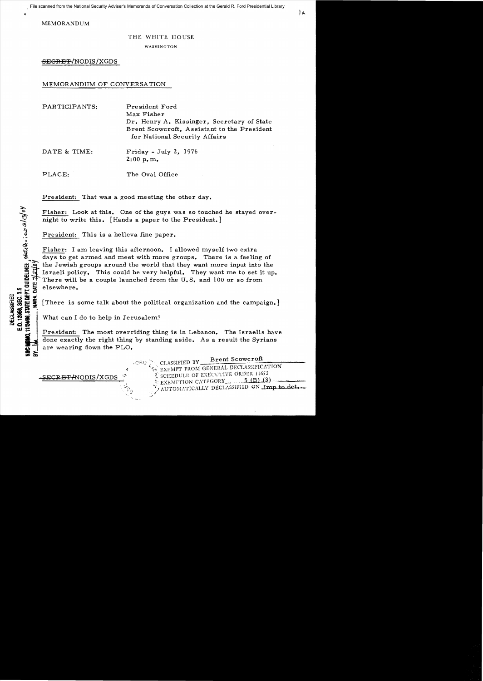MEMORANDUM

# THE WHITE HOUSE

WASHINGTON

<del>SECRET</del>/NODIS/XGDS

MEMORANDUM OF CONVERSA TION

PARTICIPANTS: President Ford Max Fisher Dr. Henry A. Kissinger, Secretary of State Brent Scowcroft, Assistant to the President for National Security Affairs

PLACE: The Oval Office

President: That was a good meeting the other day.

Fisher: Look at this. One of the guys was so touched he stayed overnight to write this. [Hands a paper to the President.]

President: This is a helleva fine paper.

Fisher: I am leaving this afternoon. I allowed myself two extra days to get armed and meet with more groups. There is a feeling of the Jewish groups around the world that they want more input into the **3** Israeli policy. This could be very helpful. They want me to set it up. There will be a couple launched from the U.S. and 100 or so from

" elsewhere.<br>
Solid High Seconds (There is a second of the second of the second of the second of the second of the second of the second of the second of the second of the second of the second of the second of the second of ET There is some talk about the political organization and the campaign.]<br>
35 Second 21 - There is some talk about the political organization and the campaign.]<br>
35 Second 22 Second 22 - What can I do to help in Jerusalem?

What can I do to help in Jerusalem?

President: The most overriding thing is in Lebanon. The Israelis have done exactly the right thing by standing aside. As a result the Syrians are wearing down the PLO.

 $\dot{\bm{\delta}}$ 

고 …

 $\frac{1}{2}$ ក្ដី ៦

 $\text{CRO} > \text{CLASSIFIED BY}$  Brent Scowcroft  $\mathcal{L}_{\text{S}}$  EXEMPT FROM GENERAL DECLASSIFICATION SECRET/NODIS/XGDS ... SCHEDULE OF EXECUTIVE ORDER 11652 AUTOMATICALLY DECLASSIFIED ON Imp to det.

DATE & TIME: Friday - July 2, 1976 2:00 p. m.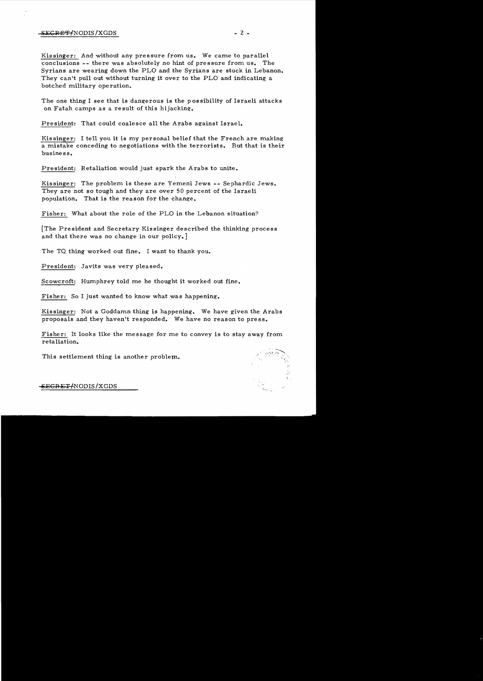# $-$ <del>SECRET/</del>NODIS/XGDS - 2 -

Kissinger: And without any pressure from us. We came to parallel conclusions -- there was absolutely no hint of pressure from us. The Syrians are wearing down the PLO and the Syrians are stuck in Lebanon. They can't pull out without turning it over to the PLO and indicating a botched military operation.

The one thing I see that is dangerous is the p ossibility of Israeli attacks on Fatah camps as a result of this hijacking.

President: That could coalesce all the Arabs against Israel.

Kissinger: I tell you it is my personal belief that the French are making a mistake conceding to negotiations with the terrorists. But that is their business.

President: Retaliation would just spark the A rabs to unite.

Kissinger: The problem is these are Yemeni Jews -- Sephardic Jews. They are not so tough and they are over 50 percent of the Israeli population. That is the reason for the change.

Fisher: What about the role of the PLO in the Lebanon situation?

[The President and Secretary Kissinger described the thinking process and that there was no change in our policy.]

The TQ thing worked out fine. I want to thank you.

President: Javits was very pleased.

Scowcroft: Humphrey told me he thought it worked out fine.

Fisher: So I just wanted to know what was happening.

Kissinger: Not a Goddamn thing is happening. We have given the Arabs proposals and they haven't responded. We have no reason to press.

Fisher: It looks like the message for me to convey is to stay away from retaliation.

This settlement thing is another problem.



SEGRET/NODIS/XGDS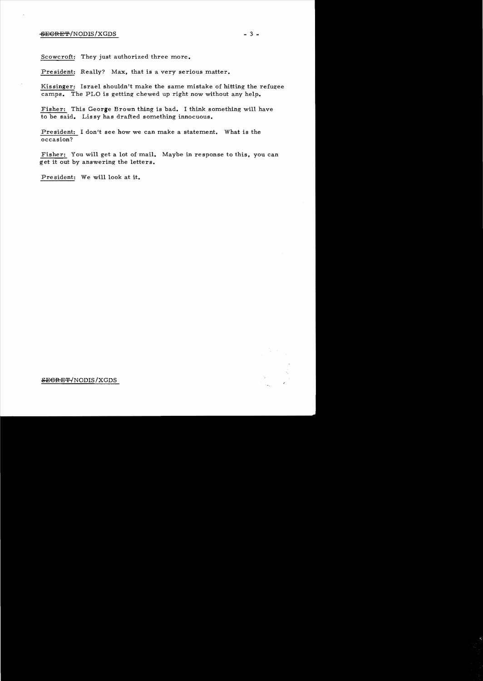Scowcroft: They just authorized three more.

President: Really? Max, that is a very serious matter.

Kissinger: Israel shouldn't make the same mistake of hitting the refugee camps. The PLO is getting chewed up right now without any help.

Fisher: This George Brown thing is bad. I think something will have to be said. Lissy has drafted something innocuous.

President: I don't see how we can make a statement. What is the occasion?

Fisher: You will get a lot of mail. Maybe in response to this, you can get it out by answering the letters.

President: We will look at **it.** 



.sEGRET{NODIS /XGDS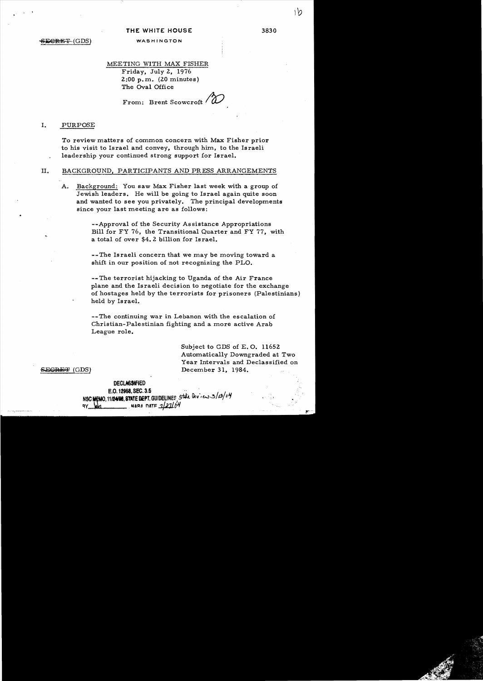# THE WHITE HOUSE 3830

# SECRET (GDS) WASHINGTON

..

•

#### MEETING WITH MAX FISHER

Friday, July 2, 1976 2:00 p. m. (20 minutes) The Oval Office

From: Brent Scowcroft /

# I. PURPOSE

To review matters of common concern with Max Fisher prior to his visit to Israel and convey, through him, to the Israeli leadership your continued strong support for Israel.

#### II. BACKGROUND, PARTICIPANTS AND PRESS ARRANGEMENTS

A. Background: You saw Max Fisher last week with a group of Jewish leaders. He will be going to Israel again quite soon and wanted to see you privately. The principal developments since your last meeting are as follows:

> --Approval of the Security Assistance Appropriations Bill for FY 76, the Transitional Quarter and FY 77, with a total of over \$4.2 billion for Israel.

--The Israeli concern that we may be moving toward a shift in our position of not recognizing the PLO.

-- The terrorist hijacking to Uganda of the Air France plane and the Israeli decision to negotiate for the exchange of hostages held by the terrorists for prisoners (Palestinians) held by Is rael.

--The continuing war in Lebanon with the escalation of Christian-Palestinian fighting and a more active Arab League role.

> Subject to GDS of E. O. 11652 Automatically Downgraded at Two Year Intervals and Declassified on December 31, 1984.

<del>SECRET</del> (GDS)

# **DECLASSIFIED** DECLASSIFIED<br>E.O. 12958, SEC. 3.5<br>NSC MEMO, 1112400. STATE DEPT. GUIDELINES<sub>,</sub> State Devices 3/2/04 9Y MA NATE 7/27/04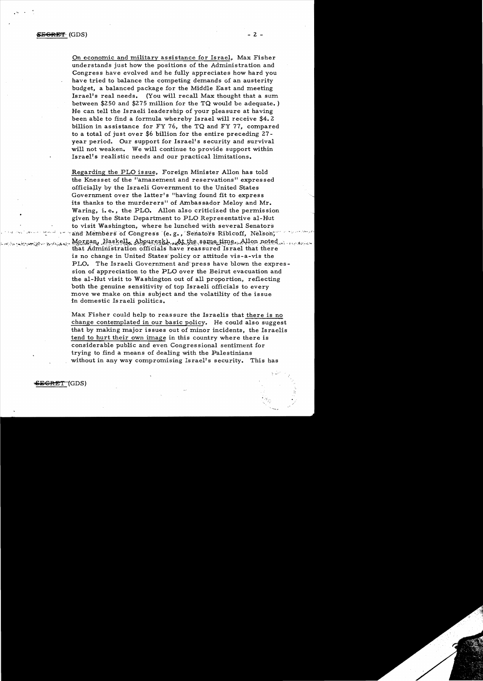On economic and military assistance for Israel, Max Fisher understands just how the positions of the Administration and Congress have evolved and he fully appreciates how hard you have tried to balance the competing demands of an austerity budget, a balanced package for the Middle East and meeting Israel's real needs. (You will recall Max thought that a sum between \$250 and \$275 million for the TQ would be adequate. ) He can tell the Israeli leadership of your pleasure at having been able to find a formula whereby Israel will receive \$4.2 billion in assistance for FY 76, the TQ and FY 77, compared to a total of just over \$6 billion for the entire preceding 27 year period. Our support for Israel's security and survival will not weaken. We will continue to provide support within Israel's realistic needs and our practical limitations.

Regarding the FLO issue, Foreign Minister Allon has told the Knesset of the "amazement and reservations" expressed officially by the Israeli Government to the United States Government over the latter's "having found fit to express its thanks to the murderers" of Ambassador Meloy and Mr. Waring, i.e., the PLO. Allon also criticized the permission given by the State Department to PLO Representative al-Hut to visit Washington, where he lunched with several Senators and Members of Congress (e.g., Senators Ribicoff, Nelson; Morgan, Haskell, Abourezk), At the same time, Allon noted.<br>that Administration officials have reassured Israel that there is no change in United States' policy or attitude vis-a-vis the PLO. The Israeli Government and'press have blown the expression of appreciation to the PLO over the Beirut evacuation and the aI-Hut visit to Washington out of all proportion, reflecting both the genuine sensitivity of top Israeli officials to every move we make on this subject and the volatility of the issue in domestic Israeli politics.

Max Fisher could help to reassure the Israelis that there is no change contemplated in our basic policy. He could also suggest that by making major issues out of minor incidents, the Israelis tend to hurt their own image in this country where there is considerable public and even Congressional sentiment for trying to find a means of dealing with the Palestinians without in any way compromising Israel's security. This has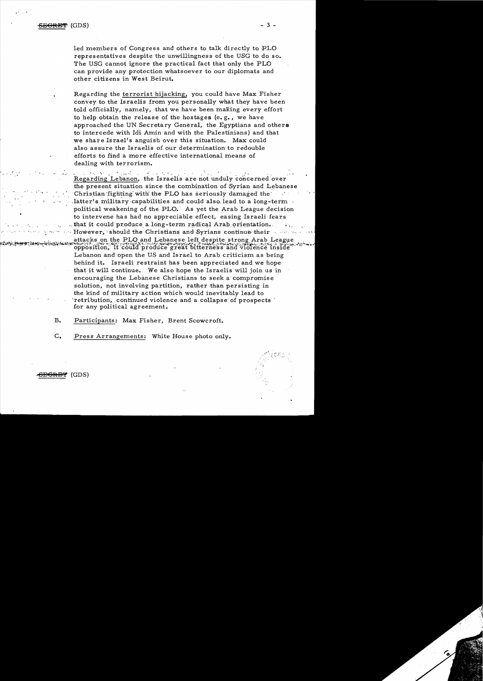<del>BGRBT</del>(GDS)

led members of Congress and others to talk directly to PLO representatives despite the unwillingness of the USG to do so. The USG cannot ignore the practical fact that only the PLO can provide any protection whatsoever to our diplomats and other citizens in West Beirut.

Regarding the terrorist hijacking, you could have Max Fisher convey to the Israelis from you personally what they have been told officially, namely, that we have been making every effort to help obtain the release of the hostages (e.g., we have approached the UN Secretary General, the Egyptians and others to intercede with Idi Amin and with the Palestinians) and that we share Israel's anguish over this situation. Max could also assure the Israelis of our determination to redouble efforts to find a more effective international means of dealing with terrorism.

المواجهة الموارد تخالف والمتعقلة والمحال المحالية والمحالية Regarding Lebanon, the Israelis are not unduly concerned over the present situation since the combination of Syrian and Lebanese Christian fighting with the PLO has seriously damaged the latter's military capabilities and could also lead to a long-term  $\cdot$ political weakening of the PLO. As yet the Arab League decision to intervene has had no appreciable effect, easing Israeli fears that it could produce a long-term radical Arab orientation. However, should the Christians and Syrians continue their and some

attacks on the PLO and Lebanese left despite strong Arab League opposition, it could produce great bitterness and violence inside Lebanon and open the US and Israel to Arab criticism as being behind it. Israeli restraint has been appreciated and we hope that it will continue. We also hope the Israelis will join us in encouraging the Lebanese Christians to seek a compromise solution, not involving partition, rather than persisting in the kind of military action which would inevitably lead to retribution, continued violence and a collapse of prospects for any political agreement.

 $B_{\bullet}$ Participants: Max Fisher, Brent Scowcroft.

 $C_{\bullet}$ Press Arrangements: White House photo only.



- 3 -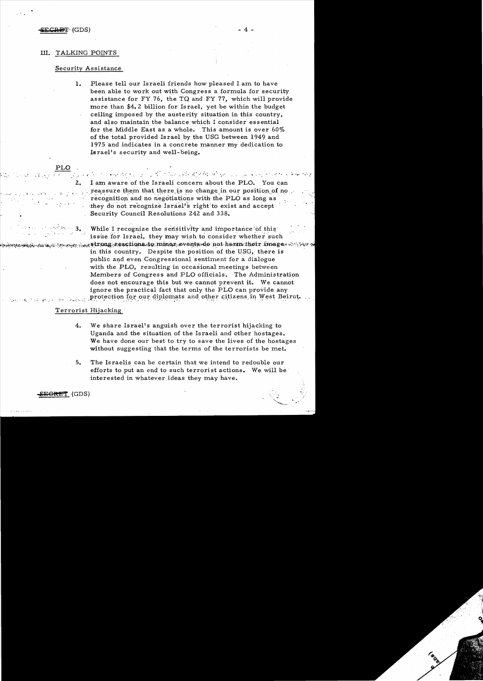#### SECRET (GDS)

### III. TALKING POINTS

# Security Assistance

 $\mathbf{1}$ . Please tell our Israeli friends how pleased I am to have been able to work out with Congress a formula for security assistance for FY 76, the TQ and FY 77, which will provide more than \$4.2 billion for Israel, yet be within the budget ceiling imposed by the austerity situation in this country, and also maintain the balance which I consider essential for the Middle East as a whole. This amount is over 60% of the total provided Israel by the USG between 1949 and 1975 and indicates in a concrete manner my dedication to Israel's security and well-being.

الله المؤمنين والمحارب المستعدد والمستعدد والمحاركة والمتعارفين والمتعارف المتعارف المحارب والمراري والمحارثة موداها I am aware of the Israeli concern about the PLO. You can reassure them that there is no change in our position of no recognition and no negotiations with the PLO as long as they do not recognize Israel's right to exist and accept Security Council Resolutions 242 and 338.

While I recognize the sensitivity and importance of this issue for Israel, they may wish to consider whether such  $\nu_{\text{max}}$  ,  $\nu_{\text{max}}$  strong reactions to minor events do not harm their image. All real in this country. Despite the position of the USG, there is public and even Congressional sentiment for a dialogue with the PLO, resulting in occasional meetings between Members of Congress and PLO officials. The Administration does not encourage this but we cannot prevent it. We cannot ignore the practical fact that only the PLO can provide any protection for our diplomats and other citizens in West Beirut.

# Terrorist Hijacking

- $4.$ We share Israel's anguish over the terrorist hijacking to Uganda and the situation of the Israeli and other hostages. We have done our best to try to save the lives of the hostages without suggesting that the terms of the terrorists be met.
- 5. The Israelis can be certain that we intend to redouble our efforts to put an end to such terrorist actions. We will be interested in whatever ideas they may have.

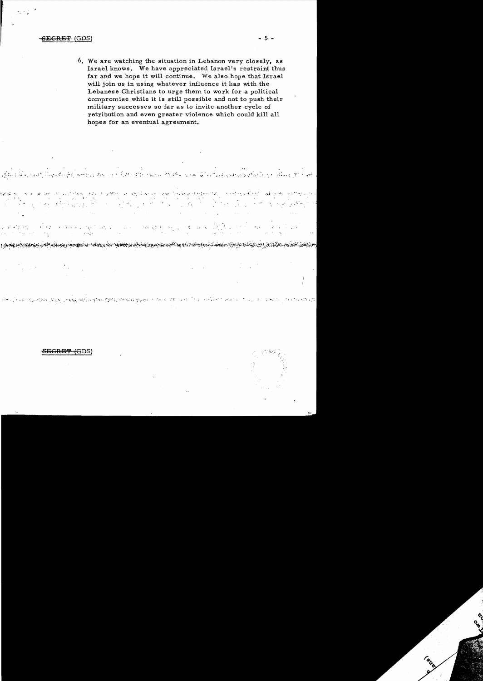### <del>CRET</del> (GDS)

6. We are watching the situation in Lebanon very closely, as Israel knows. We have appreciated Israel's restraint thus far and we hope it will continue. We also hope that Israel will join us in using whatever influence it has with the Lebanese Christians to urge them to work for a political compromise while it is still possible and not to push their military successes so far as to invite another cycle of retribution and even greater violence which could kill all hopes for an eventual agreement.

**BUTTER BULLET AND STAR** 

<u>الموارد بالموارد المستار المستقرمة الموارد والمستقرر المستقرر المستقرر المستقرر الموارد المستقرر المستقرر المستقرر</u>

Service of the

 $\mathcal{L}_1$  .

<del>SEGRET (</del>GDS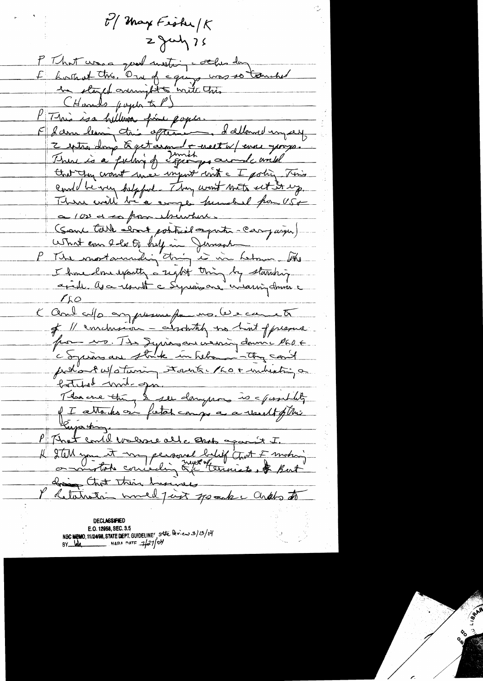$t^{\prime}/$  May Fisher  $K$  $2$  July 75 P That was good meeting collection E boutant this. One of equipe was so touched CHands paper to P) P This is a hillwis fine pope.<br>E dann lemin tris afternoon, dalland ingay Estra dong & get around + erect w/ever groups. could be very helpful. They went met est it up. There will be a comple funded from USA ca 100 et so from theirber. (Sant talk about potteril après car jaque) What can be a full in Junson The most annualized time in hermon the I have love exactly a sight thing by starting apide avance la la Syrian and critaring domina  $LLO$ K Cerre cepte au présence france les causes of 11 conclusion - arrotately too hint of pressure. pour vo. Ide Jepinasan version donnée les comments bother init opin of I attaches on fistale angus a a result of this P That could walkse alle and against I. Il 2 tell you it my personal bility that I motion **DECLASSIFIED** E.O. 12958, SEC. 3.5 NSC MEMO, 11/24/98, STATE DEPT. GUIDELINES, Ste Roiew3/0/04 BY  $M_{\text{max}}$  NARA DATE  $7/37$